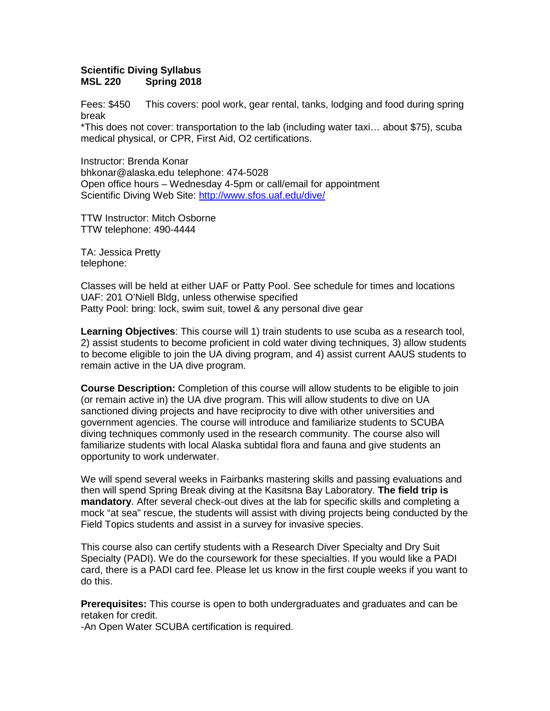## **Scientific Diving Syllabus Spring 2018**

Fees: \$450 This covers: pool work, gear rental, tanks, lodging and food during spring break

\*This does not cover: transportation to the lab (including water taxi… about \$75), scuba medical physical, or CPR, First Aid, O2 certifications.

Instructor: Brenda Konar bhkonar@alaska.edu telephone: 474-5028 Open office hours – Wednesday 4-5pm or call/email for appointment Scientific Diving Web Site:<http://www.sfos.uaf.edu/dive/>

TTW Instructor: Mitch Osborne TTW telephone: 490-4444

TA: Jessica Pretty telephone:

Classes will be held at either UAF or Patty Pool. See schedule for times and locations UAF: 201 O'Niell Bldg, unless otherwise specified Patty Pool: bring: lock, swim suit, towel & any personal dive gear

**Learning Objectives**: This course will 1) train students to use scuba as a research tool, 2) assist students to become proficient in cold water diving techniques, 3) allow students to become eligible to join the UA diving program, and 4) assist current AAUS students to remain active in the UA dive program.

**Course Description:** Completion of this course will allow students to be eligible to join (or remain active in) the UA dive program. This will allow students to dive on UA sanctioned diving projects and have reciprocity to dive with other universities and government agencies. The course will introduce and familiarize students to SCUBA diving techniques commonly used in the research community. The course also will familiarize students with local Alaska subtidal flora and fauna and give students an opportunity to work underwater.

We will spend several weeks in Fairbanks mastering skills and passing evaluations and then will spend Spring Break diving at the Kasitsna Bay Laboratory. **The field trip is mandatory**. After several check-out dives at the lab for specific skills and completing a mock "at sea" rescue, the students will assist with diving projects being conducted by the Field Topics students and assist in a survey for invasive species.

This course also can certify students with a Research Diver Specialty and Dry Suit Specialty (PADI). We do the coursework for these specialties. If you would like a PADI card, there is a PADI card fee. Please let us know in the first couple weeks if you want to do this.

**Prerequisites:** This course is open to both undergraduates and graduates and can be retaken for credit.

-An Open Water SCUBA certification is required.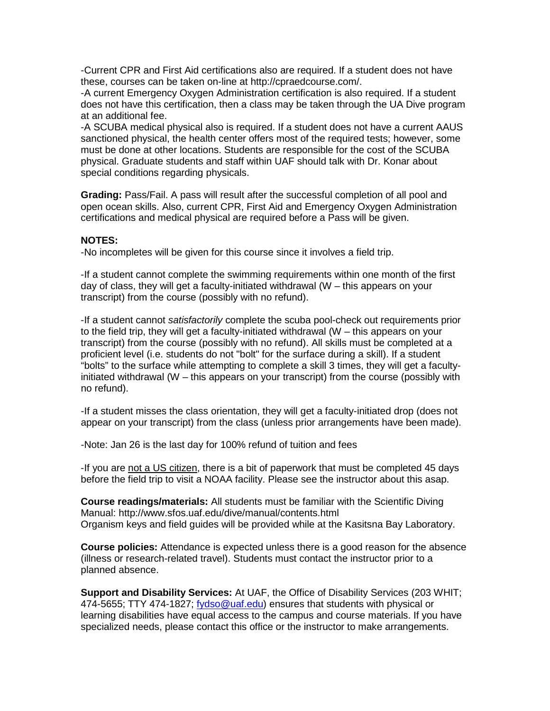-Current CPR and First Aid certifications also are required. If a student does not have these, courses can be taken on-line at http://cpraedcourse.com/.

-A current Emergency Oxygen Administration certification is also required. If a student does not have this certification, then a class may be taken through the UA Dive program at an additional fee.

-A SCUBA medical physical also is required. If a student does not have a current AAUS sanctioned physical, the health center offers most of the required tests; however, some must be done at other locations. Students are responsible for the cost of the SCUBA physical. Graduate students and staff within UAF should talk with Dr. Konar about special conditions regarding physicals.

**Grading:** Pass/Fail. A pass will result after the successful completion of all pool and open ocean skills. Also, current CPR, First Aid and Emergency Oxygen Administration certifications and medical physical are required before a Pass will be given.

## **NOTES:**

-No incompletes will be given for this course since it involves a field trip.

-If a student cannot complete the swimming requirements within one month of the first day of class, they will get a faculty-initiated withdrawal (W – this appears on your transcript) from the course (possibly with no refund).

-If a student cannot *satisfactorily* complete the scuba pool-check out requirements prior to the field trip, they will get a faculty-initiated withdrawal ( $W -$  this appears on your transcript) from the course (possibly with no refund). All skills must be completed at a proficient level (i.e. students do not "bolt" for the surface during a skill). If a student "bolts" to the surface while attempting to complete a skill 3 times, they will get a facultyinitiated withdrawal (W – this appears on your transcript) from the course (possibly with no refund).

-If a student misses the class orientation, they will get a faculty-initiated drop (does not appear on your transcript) from the class (unless prior arrangements have been made).

-Note: Jan 26 is the last day for 100% refund of tuition and fees

-If you are not a US citizen, there is a bit of paperwork that must be completed 45 days before the field trip to visit a NOAA facility. Please see the instructor about this asap.

**Course readings/materials:** All students must be familiar with the Scientific Diving Manual: http://www.sfos.uaf.edu/dive/manual/contents.html Organism keys and field guides will be provided while at the Kasitsna Bay Laboratory.

**Course policies:** Attendance is expected unless there is a good reason for the absence (illness or research-related travel). Students must contact the instructor prior to a planned absence.

**Support and Disability Services:** At UAF, the Office of Disability Services (203 WHIT; 474-5655; TTY 474-1827; [fydso@uaf.edu\)](mailto:fydso@uaf.edu) ensures that students with physical or learning disabilities have equal access to the campus and course materials. If you have specialized needs, please contact this office or the instructor to make arrangements.